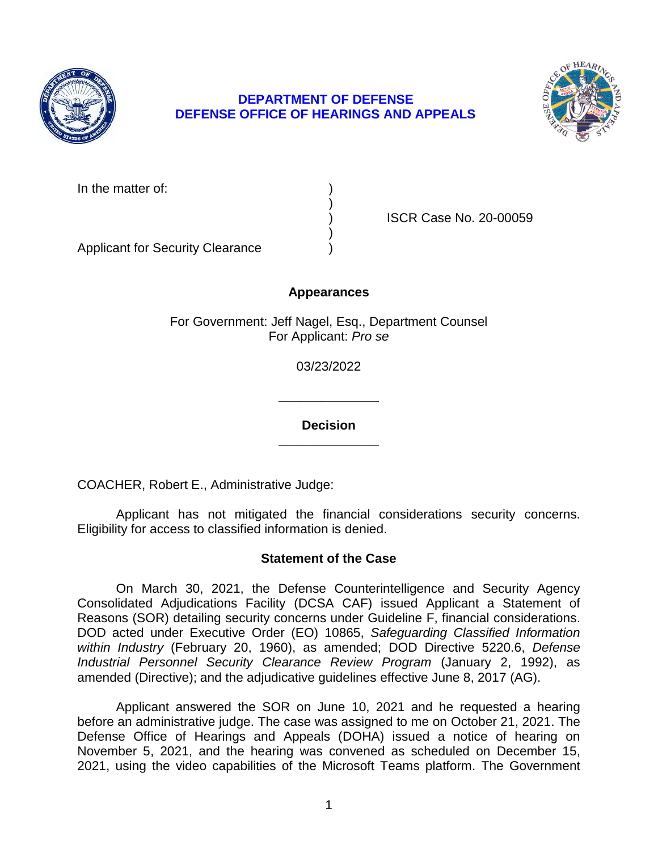

# **DEPARTMENT OF DEFENSE DEFENSE OFFICE OF HEARINGS AND APPEALS**



In the matter of:

) ISCR Case No. 20-00059

Applicant for Security Clearance )

# **Appearances**

)

)

For Government: Jeff Nagel, Esq., Department Counsel For Applicant: *Pro se* 

03/23/2022

**\_\_\_\_\_\_\_\_\_\_\_\_\_\_** 

**\_\_\_\_\_\_\_\_\_\_\_\_\_\_ Decision** 

COACHER, Robert E., Administrative Judge:

Applicant has not mitigated the financial considerations security concerns. Eligibility for access to classified information is denied.

## **Statement of the Case**

 On March 30, 2021, the Defense Counterintelligence and Security Agency Reasons (SOR) detailing security concerns under Guideline F, financial considerations.  DOD acted under Executive Order (EO) 10865, *Safeguarding Classified Information within Industry* (February 20, 1960), as amended; DOD Directive 5220.6, *Defense Industrial Personnel Security Clearance Review Program* (January 2, 1992), as amended (Directive); and the adjudicative guidelines effective June 8, 2017 (AG). Consolidated Adjudications Facility (DCSA CAF) issued Applicant a Statement of

 before an administrative judge. The case was assigned to me on October 21, 2021. The Defense Office of Hearings and Appeals (DOHA) issued a notice of hearing on November 5, 2021, and the hearing was convened as scheduled on December 15, Applicant answered the SOR on June 10, 2021 and he requested a hearing 2021, using the video capabilities of the Microsoft Teams platform. The Government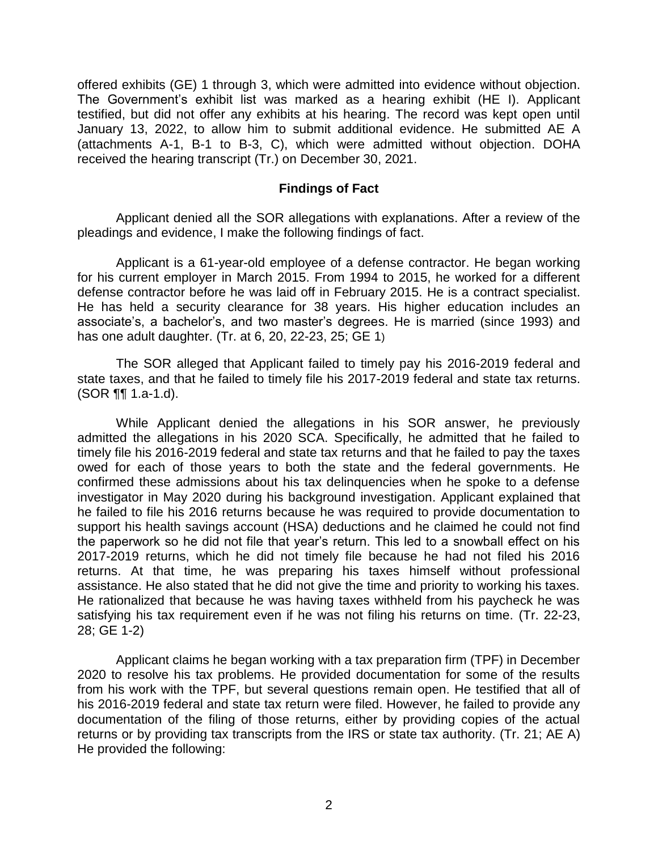offered exhibits (GE) 1 through 3, which were admitted into evidence without objection. The Government's exhibit list was marked as a hearing exhibit (HE I). Applicant January 13, 2022, to allow him to submit additional evidence. He submitted AE A (attachments A-1, B-1 to B-3, C), which were admitted without objection. DOHA testified, but did not offer any exhibits at his hearing. The record was kept open until received the hearing transcript (Tr.) on December 30, 2021.

#### **Findings of Fact**

 Applicant denied all the SOR allegations with explanations. After a review of the pleadings and evidence, I make the following findings of fact.

 Applicant is a 61-year-old employee of a defense contractor. He began working for his current employer in March 2015. From 1994 to 2015, he worked for a different defense contractor before he was laid off in February 2015. He is a contract specialist. He has held a security clearance for 38 years. His higher education includes an associate's, a bachelor's, and two master's degrees. He is married (since 1993) and has one adult daughter. (Tr. at 6, 20, 22-23, 25; GE 1)

 state taxes, and that he failed to timely file his 2017-2019 federal and state tax returns. The SOR alleged that Applicant failed to timely pay his 2016-2019 federal and (SOR ¶¶ 1.a-1.d).

 While Applicant denied the allegations in his SOR answer, he previously admitted the allegations in his 2020 SCA. Specifically, he admitted that he failed to timely file his 2016-2019 federal and state tax returns and that he failed to pay the taxes owed for each of those years to both the state and the federal governments. He confirmed these admissions about his tax delinquencies when he spoke to a defense investigator in May 2020 during his background investigation. Applicant explained that he failed to file his 2016 returns because he was required to provide documentation to support his health savings account (HSA) deductions and he claimed he could not find the paperwork so he did not file that year's return. This led to a snowball effect on his 2017-2019 returns, which he did not timely file because he had not filed his 2016 assistance. He also stated that he did not give the time and priority to working his taxes. He rationalized that because he was having taxes withheld from his paycheck he was satisfying his tax requirement even if he was not filing his returns on time. (Tr. 22-23, returns. At that time, he was preparing his taxes himself without professional 28; GE 1-2)

 Applicant claims he began working with a tax preparation firm (TPF) in December 2020 to resolve his tax problems. He provided documentation for some of the results from his work with the TPF, but several questions remain open. He testified that all of his 2016-2019 federal and state tax return were filed. However, he failed to provide any documentation of the filing of those returns, either by providing copies of the actual returns or by providing tax transcripts from the IRS or state tax authority. (Tr. 21; AE A) He provided the following: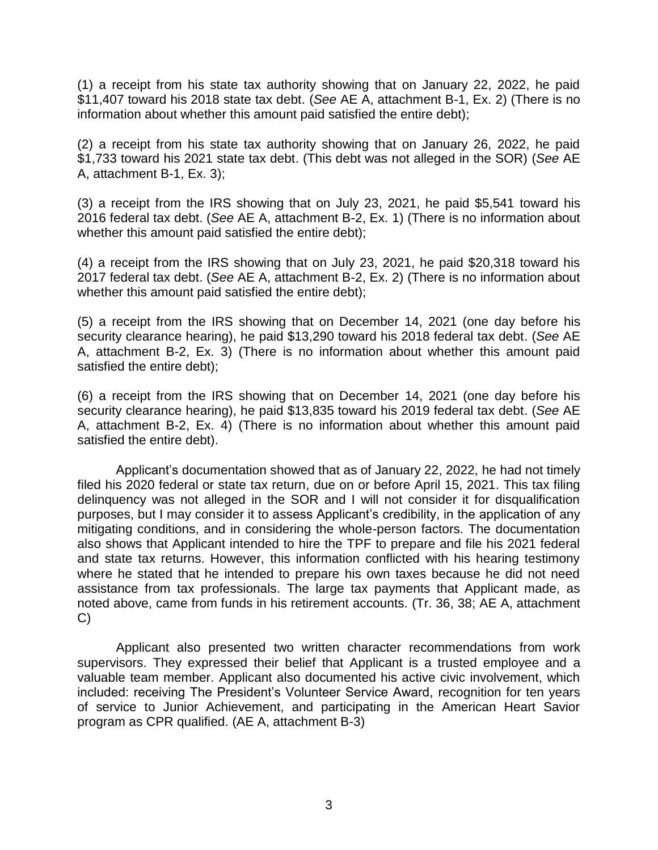(1) a receipt from his state tax authority showing that on January 22, 2022, he paid \$11,407 toward his 2018 state tax debt. (*See* AE A, attachment B-1, Ex. 2) (There is no information about whether this amount paid satisfied the entire debt);

(2) a receipt from his state tax authority showing that on January 26, 2022, he paid \$1,733 toward his 2021 state tax debt. (This debt was not alleged in the SOR) (*See* AE A, attachment B-1, Ex. 3);

(3) a receipt from the IRS showing that on July 23, 2021, he paid \$5,541 toward his 2016 federal tax debt. (*See* AE A, attachment B-2, Ex. 1) (There is no information about whether this amount paid satisfied the entire debt);

(4) a receipt from the IRS showing that on July 23, 2021, he paid \$20,318 toward his 2017 federal tax debt. (*See* AE A, attachment B-2, Ex. 2) (There is no information about whether this amount paid satisfied the entire debt);

(5) a receipt from the IRS showing that on December 14, 2021 (one day before his security clearance hearing), he paid \$13,290 toward his 2018 federal tax debt. (*See* AE A, attachment B-2, Ex. 3) (There is no information about whether this amount paid satisfied the entire debt);

(6) a receipt from the IRS showing that on December 14, 2021 (one day before his security clearance hearing), he paid \$13,835 toward his 2019 federal tax debt. (*See* AE A, attachment B-2, Ex. 4) (There is no information about whether this amount paid satisfied the entire debt).

 filed his 2020 federal or state tax return, due on or before April 15, 2021. This tax filing delinquency was not alleged in the SOR and I will not consider it for disqualification purposes, but I may consider it to assess Applicant's credibility, in the application of any mitigating conditions, and in considering the whole-person factors. The documentation also shows that Applicant intended to hire the TPF to prepare and file his 2021 federal and state tax returns. However, this information conflicted with his hearing testimony where he stated that he intended to prepare his own taxes because he did not need assistance from tax professionals. The large tax payments that Applicant made, as Applicant's documentation showed that as of January 22, 2022, he had not timely noted above, came from funds in his retirement accounts. (Tr. 36, 38; AE A, attachment C)

 Applicant also presented two written character recommendations from work supervisors. They expressed their belief that Applicant is a trusted employee and a valuable team member. Applicant also documented his active civic involvement, which included: receiving The President's Volunteer Service Award, recognition for ten years of service to Junior Achievement, and participating in the American Heart Savior program as CPR qualified. (AE A, attachment B-3)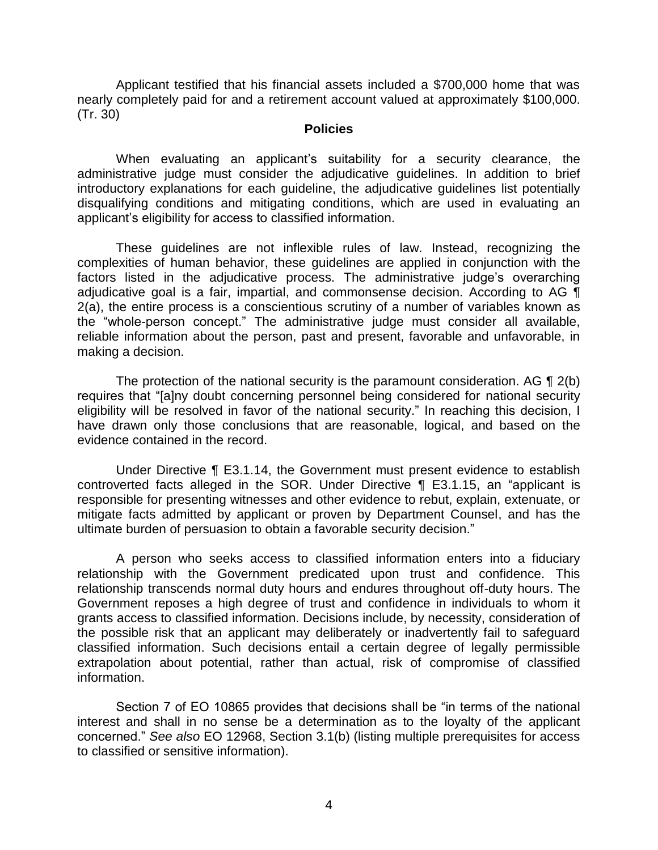Applicant testified that his financial assets included a \$700,000 home that was nearly completely paid for and a retirement account valued at approximately \$100,000. (Tr. 30)

#### **Policies**

 When evaluating an applicant's suitability for a security clearance, the administrative judge must consider the adjudicative guidelines. In addition to brief introductory explanations for each guideline, the adjudicative guidelines list potentially disqualifying conditions and mitigating conditions, which are used in evaluating an applicant's eligibility for access to classified information.

 These guidelines are not inflexible rules of law. Instead, recognizing the complexities of human behavior, these guidelines are applied in conjunction with the factors listed in the adjudicative process. The administrative judge's overarching adjudicative goal is a fair, impartial, and commonsense decision. According to AG ¶ 2(a), the entire process is a conscientious scrutiny of a number of variables known as the "whole-person concept." The administrative judge must consider all available, reliable information about the person, past and present, favorable and unfavorable, in making a decision.

The protection of the national security is the paramount consideration. AG  $\P$  2(b) eligibility will be resolved in favor of the national security." In reaching this decision, I have drawn only those conclusions that are reasonable, logical, and based on the requires that "[a]ny doubt concerning personnel being considered for national security evidence contained in the record.

 Under Directive ¶ E3.1.14, the Government must present evidence to establish responsible for presenting witnesses and other evidence to rebut, explain, extenuate, or mitigate facts admitted by applicant or proven by Department Counsel, and has the controverted facts alleged in the SOR. Under Directive ¶ E3.1.15, an "applicant is ultimate burden of persuasion to obtain a favorable security decision."

 A person who seeks access to classified information enters into a fiduciary relationship with the Government predicated upon trust and confidence. This relationship transcends normal duty hours and endures throughout off-duty hours. The Government reposes a high degree of trust and confidence in individuals to whom it grants access to classified information. Decisions include, by necessity, consideration of the possible risk that an applicant may deliberately or inadvertently fail to safeguard classified information. Such decisions entail a certain degree of legally permissible extrapolation about potential, rather than actual, risk of compromise of classified information.

 Section 7 of EO 10865 provides that decisions shall be "in terms of the national interest and shall in no sense be a determination as to the loyalty of the applicant concerned." *See also* EO 12968, Section 3.1(b) (listing multiple prerequisites for access to classified or sensitive information).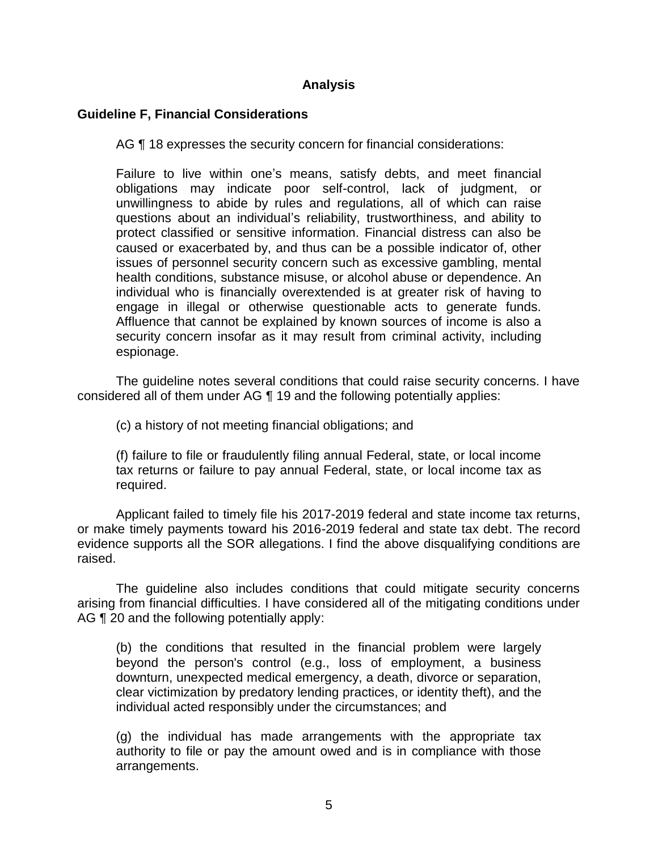## **Analysis**

## **Guideline F, Financial Considerations**

AG ¶ 18 expresses the security concern for financial considerations:

Failure to live within one's means, satisfy debts, and meet financial obligations may indicate poor self-control, lack of judgment, or unwillingness to abide by rules and regulations, all of which can raise questions about an individual's reliability, trustworthiness, and ability to protect classified or sensitive information. Financial distress can also be caused or exacerbated by, and thus can be a possible indicator of, other issues of personnel security concern such as excessive gambling, mental health conditions, substance misuse, or alcohol abuse or dependence. An individual who is financially overextended is at greater risk of having to engage in illegal or otherwise questionable acts to generate funds. Affluence that cannot be explained by known sources of income is also a security concern insofar as it may result from criminal activity, including espionage.

 The guideline notes several conditions that could raise security concerns. I have considered all of them under AG ¶ 19 and the following potentially applies:

(c) a history of not meeting financial obligations; and

 (f) failure to file or fraudulently filing annual Federal, state, or local income tax returns or failure to pay annual Federal, state, or local income tax as required.

required.<br>Applicant failed to timely file his 2017-2019 federal and state income tax returns, or make timely payments toward his 2016-2019 federal and state tax debt. The record evidence supports all the SOR allegations. I find the above disqualifying conditions are raised.

 The guideline also includes conditions that could mitigate security concerns arising from financial difficulties. I have considered all of the mitigating conditions under AG ¶ 20 and the following potentially apply:

(b) the conditions that resulted in the financial problem were largely beyond the person's control (e.g., loss of employment, a business downturn, unexpected medical emergency, a death, divorce or separation, clear victimization by predatory lending practices, or identity theft), and the individual acted responsibly under the circumstances; and

(g) the individual has made arrangements with the appropriate tax authority to file or pay the amount owed and is in compliance with those arrangements.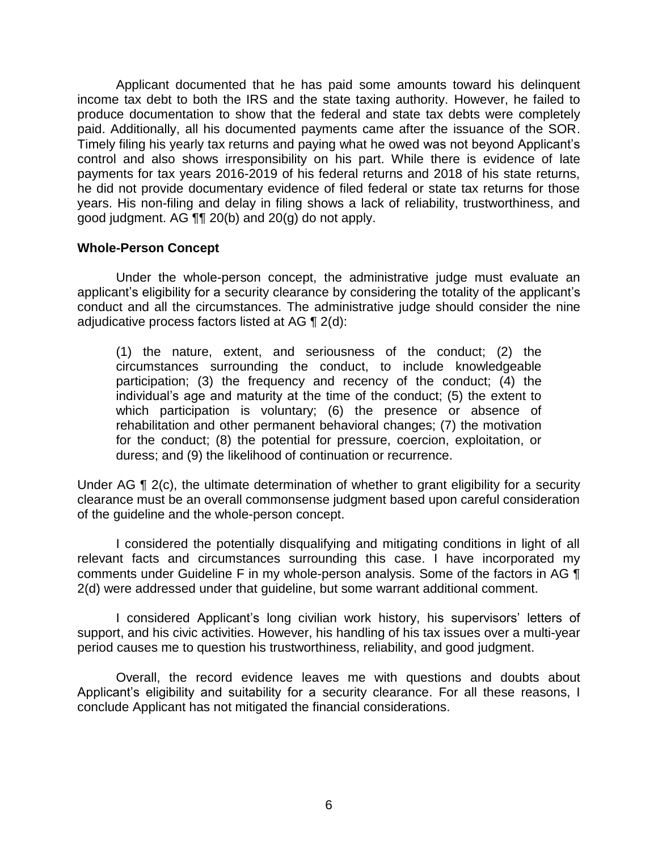Applicant documented that he has paid some amounts toward his delinquent income tax debt to both the IRS and the state taxing authority. However, he failed to produce documentation to show that the federal and state tax debts were completely paid. Additionally, all his documented payments came after the issuance of the SOR. Timely filing his yearly tax returns and paying what he owed was not beyond Applicant's control and also shows irresponsibility on his part. While there is evidence of late payments for tax years 2016-2019 of his federal returns and 2018 of his state returns, he did not provide documentary evidence of filed federal or state tax returns for those years. His non-filing and delay in filing shows a lack of reliability, trustworthiness, and good judgment. AG ¶¶ 20(b) and 20(g) do not apply.

#### **Whole-Person Concept**

 Under the whole-person concept, the administrative judge must evaluate an applicant's eligibility for a security clearance by considering the totality of the applicant's conduct and all the circumstances. The administrative judge should consider the nine adjudicative process factors listed at AG  $\P$  2(d):

(1) the nature, extent, and seriousness of the conduct; (2) the circumstances surrounding the conduct, to include knowledgeable participation; (3) the frequency and recency of the conduct; (4) the individual's age and maturity at the time of the conduct; (5) the extent to which participation is voluntary; (6) the presence or absence of rehabilitation and other permanent behavioral changes; (7) the motivation for the conduct; (8) the potential for pressure, coercion, exploitation, or duress; and (9) the likelihood of continuation or recurrence.

Under AG ¶ 2(c), the ultimate determination of whether to grant eligibility for a security clearance must be an overall commonsense judgment based upon careful consideration of the guideline and the whole-person concept.

 I considered the potentially disqualifying and mitigating conditions in light of all relevant facts and circumstances surrounding this case. I have incorporated my comments under Guideline F in my whole-person analysis. Some of the factors in AG ¶ 2(d) were addressed under that guideline, but some warrant additional comment.

 I considered Applicant's long civilian work history, his supervisors' letters of support, and his civic activities. However, his handling of his tax issues over a multi-year period causes me to question his trustworthiness, reliability, and good judgment.

 Overall, the record evidence leaves me with questions and doubts about Applicant's eligibility and suitability for a security clearance. For all these reasons, I conclude Applicant has not mitigated the financial considerations.